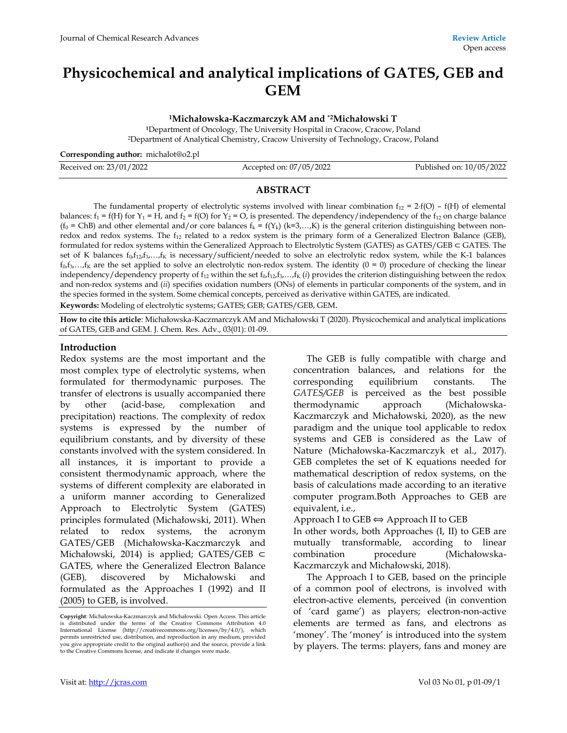# **Physicochemical and analytical implications of GATES, GEB and GEM**

**<sup>1</sup>Michałowska-Kaczmarczyk AM and \*2Michałowski T** 

**<sup>1</sup>**Department of Oncology, The University Hospital in Cracow, Cracow, Poland <sup>2</sup>Department of Analytical Chemistry, Cracow University of Technology, Cracow, Poland

**Corresponding author:** michalot@o2.pl

| Received on: 23/01/2022 | Accepted on: 07/05/2022 | Published on: 10/05/2022 |
|-------------------------|-------------------------|--------------------------|
|                         |                         |                          |

## **ABSTRACT**

The fundamental property of electrolytic systems involved with linear combination  $f_{12} = 2 \cdot f(O) - f(H)$  of elemental balances:  $f_1 = f(H)$  for  $Y_1 = H$ , and  $f_2 = f(O)$  for  $Y_2 = O$ , is presented. The dependency/independency of the  $f_{12}$  on charge balance ( $f_0$  = ChB) and other elemental and/or core balances  $f_k = f(Y_k)$  (k=3,...,K) is the general criterion distinguishing between nonredox and redox systems. The  $f_{12}$  related to a redox system is the primary form of a Generalized Electron Balance (GEB), formulated for redox systems within the Generalized Approach to Electrolytic System (GATES) as GATES/GEB ⊂ GATES. The set of K balances f<sub>0</sub>,f<sub>12</sub>,f<sub>3</sub>,...,f<sub>K</sub> is necessary/sufficient/needed to solve an electrolytic redox system, while the K-1 balances  $f_0, f_3,..., f_K$  are the set applied to solve an electrolytic non-redox system. The identity  $(0 = 0)$  procedure of checking the linear independency/dependency property of f<sub>12</sub> within the set f<sub>0</sub>,f<sub>12</sub>,f<sub>3</sub>,...,f<sub>K</sub> (*i*) provides the criterion distinguishing between the redox and non-redox systems and (*ii*) specifies oxidation numbers (ONs) of elements in particular components of the system, and in the species formed in the system. Some chemical concepts, perceived as derivative within GATES, are indicated.

**Keywords:** Modeling of electrolytic systems; GATES; GEB; GATES/GEB, GEM.

**How to cite this article**: Michałowska-KaczmarczykAM and Michałowski T (2020). Physicochemical and analytical implications of GATES, GEB and GEM. J. Chem. Res. Adv., 03(01): 01-09.

### **Introduction**

Redox systems are the most important and the most complex type of electrolytic systems, when formulated for thermodynamic purposes. The transfer of electrons is usually accompanied there by other (acid-base, complexation and precipitation) reactions. The complexity of redox systems is expressed by the number of equilibrium constants, and by diversity of these constants involved with the system considered. In all instances, it is important to provide a consistent thermodynamic approach, where the systems of different complexity are elaborated in a uniform manner according to Generalized Approach to Electrolytic System (GATES) principles formulated (Michałowski, 2011). When related to redox systems, the acronym GATES/GEB (Michałowska-Kaczmarczyk and Michałowski, 2014) is applied; GATES/GEB ⊂ GATES, where the Generalized Electron Balance (GEB)*,* discovered by Michałowski and formulated as the Approaches I (1992) and II (2005) to GEB, is involved.

The GEB is fully compatible with charge and concentration balances, and relations for the corresponding equilibrium constants. The *GATES/GEB* is perceived as the best possible thermodynamic approach (Michałowska-Kaczmarczyk and Michałowski, 2020), as the new paradigm and the unique tool applicable to redox systems and GEB is considered as the Law of Nature (Michałowska-Kaczmarczyk et al., 2017). GEB completes the set of K equations needed for mathematical description of redox systems, on the basis of calculations made according to an iterative computer program.Both Approaches to GEB are equivalent, i.e.,

Approach I to GEB  $\Leftrightarrow$  Approach II to GEB

In other words, both Approaches (I, II) to GEB are mutually transformable, according to linear combination procedure (Michałowska-Kaczmarczyk and Michałowski, 2018).

The Approach I to GEB, based on the principle of a common pool of electrons, is involved with electron-active elements, perceived (in convention of 'card game') as players; electron-non-active elements are termed as fans, and electrons as 'money'. The 'money' is introduced into the system by players. The terms: players, fans and money are

**Copyright**: Michałowska-Kaczmarczyk and Michałowski. Open Access. This article is distributed under the terms of the Creative Commons Attribution 4.0 International License (http://creativecommons.org/licenses/by/4.0/), which permits unrestricted use, distribution, and reproduction in any medium, provided you give appropriate credit to the original author(s) and the source, provide a link to the Creative Commons license, and indicate if changes were made.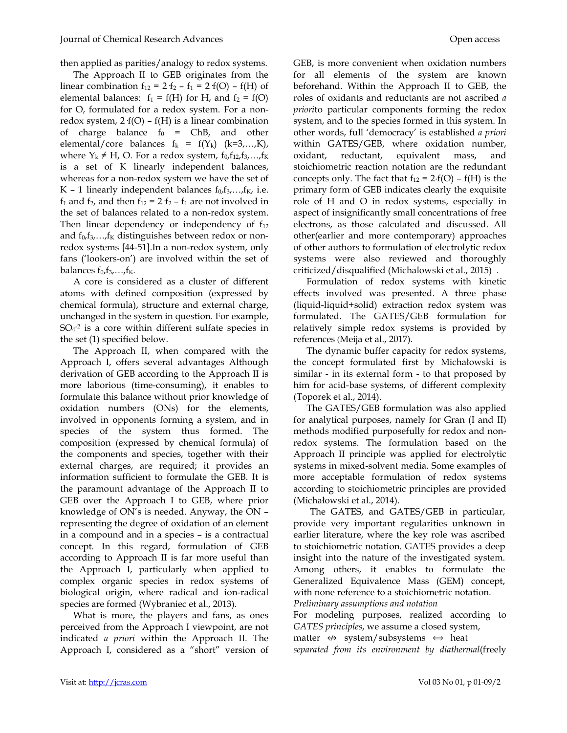then applied as parities/analogy to redox systems.

The Approach II to GEB originates from the linear combination  $f_{12} = 2 f_2 - f_1 = 2 f(O) - f(H)$  of elemental balances:  $f_1 = f(H)$  for H, and  $f_2 = f(O)$ for O, formulated for a redox system. For a nonredox system,  $2 f(O) - f(H)$  is a linear combination of charge balance  $f_0 = ChB$ , and other elemental/core balances  $f_k = f(Y_k)$  (k=3,...,K), where  $Y_k \neq H$ , O. For a redox system,  $f_0, f_{12}, f_3, \ldots, f_K$ is a set of K linearly independent balances, whereas for a non-redox system we have the set of K – 1 linearly independent balances  $f_0, f_3, \ldots, f_K$ , i.e.  $f_1$  and  $f_2$ , and then  $f_{12} = 2 f_2 - f_1$  are not involved in the set of balances related to a non-redox system. Then linear dependency or independency of  $f_{12}$ and  $f_0, f_3, \ldots, f_K$  distinguishes between redox or nonredox systems [44-51].In a non-redox system, only fans ('lookers-on') are involved within the set of balances  $f_0, f_3, \ldots, f_K$ .

A core is considered as a cluster of different atoms with defined composition (expressed by chemical formula), structure and external charge, unchanged in the system in question. For example, SO<sup>4</sup> -2 is a core within different sulfate species in the set (1) specified below.

The Approach II, when compared with the Approach I, offers several advantages Although derivation of GEB according to the Approach II is more laborious (time-consuming), it enables to formulate this balance without prior knowledge of oxidation numbers (ONs) for the elements, involved in opponents forming a system, and in species of the system thus formed. The composition (expressed by chemical formula) of the components and species, together with their external charges, are required; it provides an information sufficient to formulate the GEB. It is the paramount advantage of the Approach II to GEB over the Approach I to GEB, where prior knowledge of ON's is needed. Anyway, the ON – representing the degree of oxidation of an element in a compound and in a species – is a contractual concept. In this regard, formulation of GEB according to Approach II is far more useful than the Approach I, particularly when applied to complex organic species in redox systems of biological origin, where radical and ion-radical species are formed (Wybraniec et al., 2013).

What is more, the players and fans, as ones perceived from the Approach I viewpoint, are not indicated *a priori* within the Approach II. The Approach I, considered as a "short" version of

GEB, is more convenient when oxidation numbers for all elements of the system are known beforehand. Within the Approach II to GEB, the roles of oxidants and reductants are not ascribed *a priori*to particular components forming the redox system, and to the species formed in this system. In other words, full 'democracy' is established *a priori* within GATES/GEB, where oxidation number, oxidant, reductant, equivalent mass, and stoichiometric reaction notation are the redundant concepts only. The fact that  $f_{12} = 2 \cdot f(O) - f(H)$  is the primary form of GEB indicates clearly the exquisite role of H and O in redox systems, especially in aspect of insignificantly small concentrations of free electrons, as those calculated and discussed. All other(earlier and more contemporary) approaches of other authors to formulation of electrolytic redox systems were also reviewed and thoroughly criticized/disqualified (Michalowski et al., 2015) .

Formulation of redox systems with kinetic effects involved was presented. A three phase (liquid-liquid+solid) extraction redox system was formulated. The GATES/GEB formulation for relatively simple redox systems is provided by references (Meija et al., 2017).

The dynamic buffer capacity for redox systems, the concept formulated first by Michałowski is similar - in its external form - to that proposed by him for acid-base systems, of different complexity (Toporek et al., 2014).

The GATES/GEB formulation was also applied for analytical purposes, namely for Gran (I and II) methods modified purposefully for redox and nonredox systems. The formulation based on the Approach II principle was applied for electrolytic systems in mixed-solvent media. Some examples of more acceptable formulation of redox systems according to stoichiometric principles are provided (Michałowski et al., 2014).

The GATES, and GATES/GEB in particular, provide very important regularities unknown in earlier literature, where the key role was ascribed to stoichiometric notation. GATES provides a deep insight into the nature of the investigated system. Among others, it enables to formulate the Generalized Equivalence Mass (GEM) concept, with none reference to a stoichiometric notation. *Preliminary assumptions and notation* 

For modeling purposes, realized according to *GATES principles*, we assume a closed system, matter  $\Leftrightarrow$  system/subsystems  $\Leftrightarrow$  heat *separated from its environment by diathermal*(freely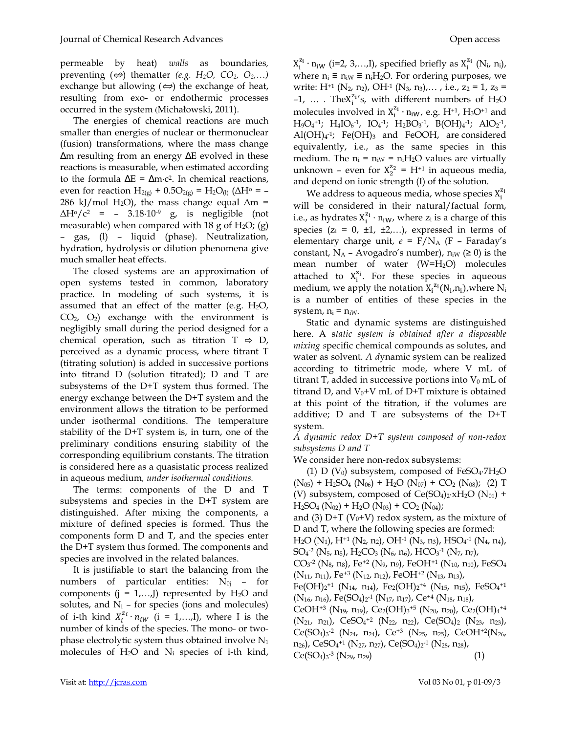permeable by heat) *walls* as boundaries*,*  preventing  $(\n\Leftrightarrow)$  thematter  $(e.g., H_2O, CO_2, O_2,...)$ exchange but allowing  $(\Leftrightarrow)$  the exchange of heat, resulting from exo- or endothermic processes occurred in the system (Michałowski, 2011)*.* 

The energies of chemical reactions are much smaller than energies of nuclear or thermonuclear (fusion) transformations, where the mass change ∆m resulting from an energy ∆E evolved in these reactions is measurable, when estimated according to the formula  $\Delta E = \Delta m \cdot c^2$ . In chemical reactions, even for reaction  $H_{2(g)} + 0.5O_{2(g)} = H_2O_{(1)}$  ( $\Delta H^{\circ} = -$ 286 kJ/mol H<sub>2</sub>O), the mass change equal  $\Delta m =$ ∆H<sup>o</sup>/c<sup>2</sup> = – 3.18·10-9 g, is negligible (not measurable) when compared with 18 g of  $H_2O$ ; (g) – gas, (l) – liquid (phase). Neutralization, hydration, hydrolysis or dilution phenomena give much smaller heat effects.

The closed systems are an approximation of open systems tested in common, laboratory practice. In modeling of such systems, it is assumed that an effect of the matter (e.g.  $H_2O$ ,  $CO<sub>2</sub>, O<sub>2</sub>$  exchange with the environment is negligibly small during the period designed for a chemical operation, such as titration  $T \Rightarrow D$ , perceived as a dynamic process, where titrant T (titrating solution) is added in successive portions into titrand D (solution titrated); D and T are subsystems of the D+T system thus formed. The energy exchange between the D+T system and the environment allows the titration to be performed under isothermal conditions. The temperature stability of the D+T system is, in turn, one of the preliminary conditions ensuring stability of the corresponding equilibrium constants. The titration is considered here as a quasistatic process realized in aqueous medium*, under isothermal conditions.*

The terms: components of the D and T subsystems and species in the D+T system are distinguished. After mixing the components, a mixture of defined species is formed. Thus the components form D and T, and the species enter the D+T system thus formed. The components and species are involved in the related balances.

It is justifiable to start the balancing from the numbers of particular entities:  $N_{0j}$  – for components  $(j = 1,...,J)$  represented by  $H_2O$  and solutes, and  $N_i$  – for species (ions and molecules) of i-th kind  $X_i^{z_i} \cdot n_{iW}$  (i = 1,...,I), where I is the number of kinds of the species. The mono- or twophase electrolytic system thus obtained involve N<sub>1</sub> molecules of  $H_2O$  and  $N_i$  species of i-th kind,

 $X_i^{z_i} \cdot n_{iW}$  (i=2, 3,...,I), specified briefly as  $X_i^{z_i}$  (N<sub>i</sub>, n<sub>i</sub>), where  $n_i \equiv n_i$ <sub>W</sub>  $\equiv n_i$ <sup>H<sub>2</sub>O. For ordering purposes, we</sup> write: H<sup>+1</sup> (N<sub>2</sub>, n<sub>2</sub>), OH<sup>-1</sup> (N<sub>3</sub>, n<sub>3</sub>),..., i.e.,  $z_2 = 1$ ,  $z_3 =$  $-1$ , ... . The  $X_i^{z_1}$ 's, with different numbers of H<sub>2</sub>O molecules involved in  $X_i^{z_i} \cdot n_{iW}$ , e.g.  $H^{+1}$ ,  $H_3O^{+1}$  and  $H_9O_4^{+1}$ ;  $H_4IO_6^{-1}$ ,  $IO_4^{-1}$ ;  $H_2BO_3^{-1}$ ,  $B(OH)_4^{-1}$ ;  $AlO_2^{-1}$ ,  $\mathrm{Al(OH)}_{4}$ <sup>-1</sup>; Fe(OH)<sub>3</sub> and FeOOH, are considered equivalently, i.e., as the same species in this medium. The  $n_i = n_iw = n_iH_2O$  values are virtually unknown – even for  $X_2^{z_2} = H^{+1}$  in aqueous media, and depend on ionic strength (I) of the solution.

We address to aqueous media, whose species  $X_i^{z_i}$ will be considered in their natural/factual form, i.e., as hydrates  $X_i^{z_i} \cdot n_{iW}$ , where  $z_i$  is a charge of this species  $(z_i = 0, \pm 1, \pm 2,...)$ , expressed in terms of elementary charge unit,  $e = F/N_A$  (F – Faraday's constant, N<sub>A</sub> – Avogadro's number),  $n_{iW}$  ( $\geq$  0) is the mean number of water (W=H2O) molecules attached to  $X_i^{z_i}$ . For these species in aqueous medium, we apply the notation  $X_i^{z_i}(N_i, n_i)$ , where  $N_i$ is a number of entities of these species in the system,  $n_i = n_{iW}$ .

Static and dynamic systems are distinguished here. A s*tatic system is obtained after a disposable mixing s*pecific chemical compounds as solutes, and water as solvent. *A d*ynamic system can be realized according to titrimetric mode, where V mL of titrant T, added in successive portions into  $V_0$  mL of titrand D, and  $V_0+V$  mL of D+T mixture is obtained at this point of the titration, if the volumes are additive; D and T are subsystems of the D+T system*.*

*A dynamic redox D+T system composed of non-redox subsystems D and T* 

We consider here non-redox subsystems:

(1) D ( $V_0$ ) subsystem, composed of FeSO<sub>4</sub>.7H<sub>2</sub>O  $(N_{05})$  + H<sub>2</sub>SO<sub>4</sub> (N<sub>06</sub>) + H<sub>2</sub>O (N<sub>07</sub>) + CO<sub>2</sub> (N<sub>08</sub>); (2) T (V) subsystem, composed of  $Ce(SO<sub>4</sub>)<sub>2</sub>·xH<sub>2</sub>O (N<sub>01</sub>) +$  $H_2SO_4(N_{02}) + H_2O(N_{03}) + CO_2(N_{04});$ and (3)  $D+T$  (V<sub>0</sub>+V) redox system, as the mixture of D and T, where the following species are formed:  $H_2O(N_1)$ ,  $H^{+1} (N_2, n_2)$ ,  $OH^{-1} (N_3, n_3)$ ,  $HSO_4^{-1} (N_4, n_4)$ ,  $SO_4$ <sup>-2</sup> (N<sub>5</sub>, n<sub>5</sub>), H<sub>2</sub>CO<sub>3</sub> (N<sub>6</sub>, n<sub>6</sub>), HCO<sub>3</sub><sup>-1</sup> (N<sub>7</sub>, n<sub>7</sub>),  $\rm CO_3$ -2 (N $_{8}$ , n $_{8}$ ), Fe<sup>+2</sup> (N $_{9}$ , n $_{9}$ ), FeOH $^{+1}$  (N $_{10}$ , n $_{10}$ ), FeSO $_{4}$  $(N_{11}, n_{11})$ , Fe<sup>+3</sup> (N<sub>12</sub>, n<sub>12</sub>), FeOH<sup>+2</sup> (N<sub>13</sub>, n<sub>13</sub>), Fe(OH)2<sup>+1</sup> (N<sub>14</sub>, n<sub>14</sub>), Fe<sub>2</sub>(OH)2<sup>+4</sup> (N<sub>15</sub>, n<sub>15</sub>), FeSO<sub>4</sub>+1  $(N_{16}, n_{16})$ , Fe $(SO_4)_2$ <sup>-1</sup> (N<sub>17</sub>, n<sub>17</sub>), Ce<sup>+4</sup> (N<sub>18</sub>, n<sub>18</sub>), CeOH+3 (N<sub>19</sub>, n<sub>19</sub>), Ce<sub>2</sub>(OH)3<sup>+5</sup> (N<sub>20</sub>, n<sub>20</sub>), Ce<sub>2</sub>(OH)<sub>4</sub>+4 (N<sub>21</sub>, n<sub>21</sub>), CeSO<sub>4</sub><sup>+2</sup> (N<sub>22</sub>, n<sub>22</sub>), Ce(SO<sub>4</sub>)<sub>2</sub> (N<sub>23</sub>, n<sub>23</sub>),  $Ce(SO<sub>4</sub>)<sub>3</sub>$ <sup>-2</sup> (N<sub>24</sub>, n<sub>24</sub>), Ce<sup>+3</sup> (N<sub>25</sub>, n<sub>25</sub>), CeOH<sup>+2</sup>(N<sub>26</sub>,  $(n_{26})$ , CeSO<sub>4</sub><sup>+1</sup> (N<sub>27</sub>, n<sub>27</sub>), Ce(SO<sub>4</sub>)<sub>2</sub><sup>-1</sup> (N<sub>28</sub>, n<sub>28</sub>),  $Ce(SO<sub>4</sub>)<sub>3</sub>$ <sup>-3</sup> (N<sub>29</sub>, n<sub>29</sub>) (1)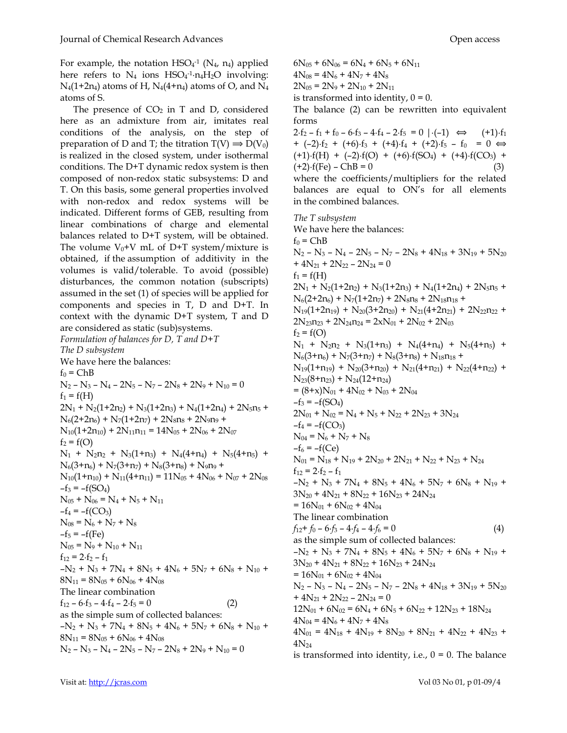For example, the notation  $HSO_4$ <sup>-1</sup> (N<sub>4</sub>, n<sub>4</sub>) applied here refers to  $N_4$  ions  $HSO_4$ <sup>-1</sup> $\cdot$ n<sub>4</sub>H<sub>2</sub>O involving:  $N_4(1+2n_4)$  atoms of H,  $N_4(4+n_4)$  atoms of O, and  $N_4$ atoms of S.

The presence of  $CO<sub>2</sub>$  in T and D, considered here as an admixture from air, imitates real conditions of the analysis, on the step of preparation of D and T; the titration  $T(V) \Rightarrow D(V_0)$ is realized in the closed system, under isothermal conditions. The D+T dynamic redox system is then composed of non-redox static subsystems: D and T. On this basis, some general properties involved with non-redox and redox systems will be indicated. Different forms of GEB, resulting from linear combinations of charge and elemental balances related to D+T system, will be obtained. The volume  $V_0+V$  mL of D+T system/mixture is obtained, if the assumption of additivity in the volumes is valid/tolerable. To avoid (possible) disturbances, the common notation (subscripts) assumed in the set (1) of species will be applied for components and species in T, D and D+T. In context with the dynamic D+T system, T and D are considered as static (sub)systems. *Formulation of balances for D, T and D+T The D subsystem*  We have here the balances:  $f_0 = ChB$  $N_2 - N_3 - N_4 - 2N_5 - N_7 - 2N_8 + 2N_9 + N_{10} = 0$  $f_1 = f(H)$  $2N_1 + N_2(1+2n_2) + N_3(1+2n_3) + N_4(1+2n_4) + 2N_5n_5 +$  $N_6(2+2n_6) + N_7(1+2n_7) + 2N_8n_8 + 2N_9n_9 +$  $N_{10}(1+2n_{10}) + 2N_{11}n_{11} = 14N_{05} + 2N_{06} + 2N_{07}$  $f_2 = f(O)$  $N_1$  +  $N_2$ n<sub>2</sub> +  $N_3(1+n_3)$  +  $N_4(4+n_4)$  +  $N_5(4+n_5)$  +  $N_6(3+n_6) + N_7(3+n_7) + N_8(3+n_8) + N_9n_9 +$  $N_{10}(1+n_{10}) + N_{11}(4+n_{11}) = 11N_{05} + 4N_{06} + N_{07} + 2N_{08}$  $-f_3 = -f(SO_4)$  $N_{05}$  +  $N_{06}$  =  $N_4$  +  $N_5$  +  $N_{11}$  $-f_4 = -f(CO_3)$  $N_{08} = N_6 + N_7 + N_8$  $-f_5 = -f(Fe)$  $N_{05} = N_9 + N_{10} + N_{11}$  $f_{12} = 2 \cdot f_2 - f_1$  $-N_2 + N_3 + 7N_4 + 8N_5 + 4N_6 + 5N_7 + 6N_8 + N_{10} +$  $8N_{11} = 8N_{05} + 6N_{06} + 4N_{08}$ The linear combination  $f_{12} - 6 \cdot f_3 - 4 \cdot f_4 - 2 \cdot f_5 = 0$  (2) as the simple sum of collected balances:  $-N_2 + N_3 + 7N_4 + 8N_5 + 4N_6 + 5N_7 + 6N_8 + N_{10} +$  $8N_{11} = 8N_{05} + 6N_{06} + 4N_{08}$  $N_2 - N_3 - N_4 - 2N_5 - N_7 - 2N_8 + 2N_9 + N_{10} = 0$ 

 $6N_{05} + 6N_{06} = 6N_4 + 6N_5 + 6N_{11}$  $4N_{08} = 4N_6 + 4N_7 + 4N_8$  $2N_{05} = 2N_9 + 2N_{10} + 2N_{11}$ is transformed into identity,  $0 = 0$ .

The balance (2) can be rewritten into equivalent forms

 $2 \cdot f_2 - f_1 + f_0 - 6 \cdot f_3 - 4 \cdot f_4 - 2 \cdot f_5 = 0 \mid (-1) \iff (+1) \cdot f_1$  $+$  (-2) $\cdot$ f<sub>2</sub> + (+6) $\cdot$ f<sub>3</sub> + (+4) $\cdot$ f<sub>4</sub> + (+2) $\cdot$ f<sub>5</sub> - f<sub>0</sub> = 0  $\Leftrightarrow$  $(+1) \cdot f(H) + (-2) \cdot f(O) + (+6) \cdot f(SO_4) + (+4) \cdot f(CO_3) +$  $(+2) \cdot f(Fe) - ChB = 0$  (3) where the coefficients/multipliers for the related balances are equal to ON's for all elements in the combined balances.

*The T subsystem*  We have here the balances:  $f_0$  = ChB  $N_2 - N_3 - N_4 - 2N_5 - N_7 - 2N_8 + 4N_{18} + 3N_{19} + 5N_{20}$  $+ 4N_{21} + 2N_{22} - 2N_{24} = 0$  $f_1 = f(H)$  $2N_1 + N_2(1+2n_2) + N_3(1+2n_3) + N_4(1+2n_4) + 2N_5n_5 +$  $N_6(2+2n_6) + N_7(1+2n_7) + 2N_8n_8 + 2N_{18}n_{18} +$  $N_{19}(1+2n_{19}) + N_{20}(3+2n_{20}) + N_{21}(4+2n_{21}) + 2N_{22}n_{22} +$  $2N_{23}n_{23} + 2N_{24}n_{24} = 2xN_{01} + 2N_{02} + 2N_{03}$  $f_2 = f(O)$  $N_1$  +  $N_2$ n<sub>2</sub> +  $N_3(1+n_3)$  +  $N_4(4+n_4)$  +  $N_5(4+n_5)$  +  $N_6(3+n_6) + N_7(3+n_7) + N_8(3+n_8) + N_{18}n_{18} +$  $N_{19}(1+n_{19}) + N_{20}(3+n_{20}) + N_{21}(4+n_{21}) + N_{22}(4+n_{22}) +$  $N_{23}(8+n_{23}) + N_{24}(12+n_{24})$  $= (8+x)N_{01} + 4N_{02} + N_{03} + 2N_{04}$  $-f_3 = -f(SO_4)$  $2N_{01}$  +  $N_{02}$  =  $N_4$  +  $N_5$  +  $N_{22}$  +  $2N_{23}$  +  $3N_{24}$  $-f_4 = -f(CO_3)$  $N_{04} = N_6 + N_7 + N_8$  $-f_6 = -f(Ce)$  $N_{01} = N_{18} + N_{19} + 2N_{20} + 2N_{21} + N_{22} + N_{23} + N_{24}$  $f_{12} = 2 \cdot f_2 - f_1$  $-N_2 + N_3 + 7N_4 + 8N_5 + 4N_6 + 5N_7 + 6N_8 + N_{19} +$  $3N_{20}$  +  $4N_{21}$  +  $8N_{22}$  +  $16N_{23}$  +  $24N_{24}$  $= 16N_{01} + 6N_{02} + 4N_{04}$ The linear combination  $f_{12} + f_0 - 6 \cdot f_3 - 4 \cdot f_4 - 4 \cdot f_6 = 0$  (4) as the simple sum of collected balances:  $-N_2 + N_3 + 7N_4 + 8N_5 + 4N_6 + 5N_7 + 6N_8 + N_{19} +$  $3N_{20}$  +  $4N_{21}$  +  $8N_{22}$  +  $16N_{23}$  +  $24N_{24}$  $= 16N_{01} + 6N_{02} + 4N_{04}$  $N_2 - N_3 - N_4 - 2N_5 - N_7 - 2N_8 + 4N_{18} + 3N_{19} + 5N_{20}$  $+ 4N_{21} + 2N_{22} - 2N_{24} = 0$  $12N_{01} + 6N_{02} = 6N_4 + 6N_5 + 6N_{22} + 12N_{23} + 18N_{24}$  $4N_{04} = 4N_6 + 4N_7 + 4N_8$  $4N_{01} = 4N_{18} + 4N_{19} + 8N_{20} + 8N_{21} + 4N_{22} + 4N_{23} +$  $4N_{24}$ is transformed into identity, i.e.,  $0 = 0$ . The balance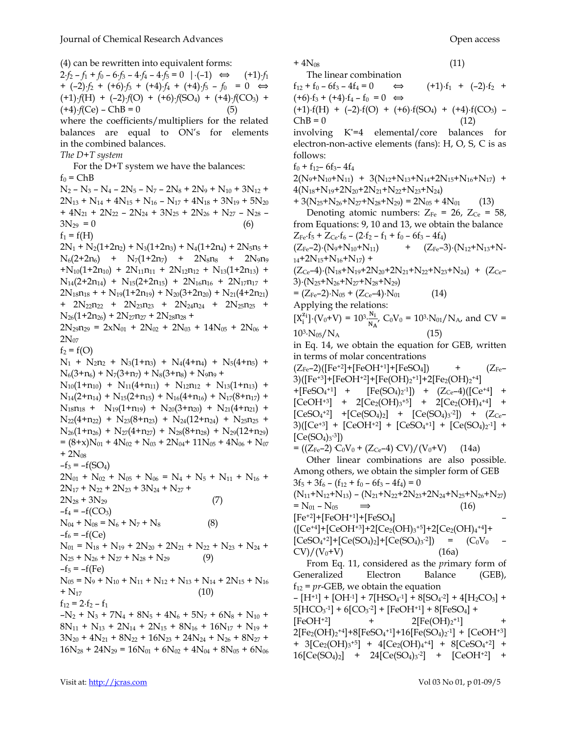(4) can be rewritten into equivalent forms:

 $2 \cdot f_2 - f_1 + f_0 - 6 \cdot f_3 - 4 \cdot f_4 - 4 \cdot f_5 = 0 \ \ | \cdot (-1) \iff (+1) \cdot f_1$  $+$  (-2) $\cdot$ *f*<sub>2</sub> + (+6) $\cdot$ *f*<sub>3</sub> + (+4) $\cdot$ *f*<sub>4</sub> + (+4) $\cdot$ *f*<sub>5</sub> - *f*<sub>0</sub> = 0  $\Leftrightarrow$  $(+1) \cdot f(H) + (-2) \cdot f(O) + (+6) \cdot f(SO_4) + (+4) \cdot f(CO_3) +$  $(+4) \cdot f(Ce) - ChB = 0$  (5) where the coefficients/multipliers for the related balances are equal to ON's for elements in the combined balances. *The D+T system*  For the D+T system we have the balances:  $f_0 = ChB$  $N_2 - N_3 - N_4 - 2N_5 - N_7 - 2N_8 + 2N_9 + N_{10} + 3N_{12} +$  $2N_{13} + N_{14} + 4N_{15} + N_{16} - N_{17} + 4N_{18} + 3N_{19} + 5N_{20}$ +  $4N_{21}$  +  $2N_{22}$  –  $2N_{24}$  +  $3N_{25}$  +  $2N_{26}$  +  $N_{27}$  –  $N_{28}$  –  $3N_{29} = 0$  (6)  $f_1 = f(H)$  $2N_1 + N_2(1+2n_2) + N_3(1+2n_3) + N_4(1+2n_4) + 2N_5n_5 +$  $N_6(2+2n_6)$  +  $N_7(1+2n_7)$  +  $2N_8n_8$  +  $2N_9n_9$  $+N_{10}(1+2n_{10}) + 2N_{11}n_{11} + 2N_{12}n_{12} + N_{13}(1+2n_{13}) +$  $N_{14}(2+2n_{14}) + N_{15}(2+2n_{15}) + 2N_{16}n_{16} + 2N_{17}n_{17} +$  $2N_{18}n_{18}$  + +  $N_{19}(1+2n_{19})$  +  $N_{20}(3+2n_{20})$  +  $N_{21}(4+2n_{21})$ +  $2N_{22}n_{22}$  +  $2N_{23}n_{23}$  +  $2N_{24}n_{24}$  +  $2N_{25}n_{25}$  +  $N_{26}(1+2n_{26}) + 2N_{27}n_{27} + 2N_{28}n_{28} +$  $2N_{29}n_{29} = 2xN_{01} + 2N_{02} + 2N_{03} + 14N_{05} + 2N_{06} +$  $2N_{07}$  $f_2 = f(O)$  $N_1$  +  $N_2$ n<sub>2</sub> +  $N_3(1+n_3)$  +  $N_4(4+n_4)$  +  $N_5(4+n_5)$  +  $N_6(3+n_6) + N_7(3+n_7) + N_8(3+n_8) + N_9n_9 +$  $N_{10}(1+n_{10}) + N_{11}(4+n_{11}) + N_{12}n_{12} + N_{13}(1+n_{13}) +$  $N_{14}(2+n_{14}) + N_{15}(2+n_{15}) + N_{16}(4+n_{16}) + N_{17}(8+n_{17}) +$  $N_{18}n_{18}$  +  $N_{19}(1+n_{19})$  +  $N_{20}(3+n_{20})$  +  $N_{21}(4+n_{21})$  +  $N_{22}(4+n_{22}) + N_{23}(8+n_{23}) + N_{24}(12+n_{24}) + N_{25}n_{25} +$  $N_{26}(1+n_{26})$  +  $N_{27}(4+n_{27})$  +  $N_{28}(8+n_{28})$  +  $N_{29}(12+n_{29})$  $= (8+x)N_{01} + 4N_{02} + N_{03} + 2N_{04} + 11N_{05} + 4N_{06} + N_{07}$  $+ 2N_{08}$  $-f_3 = -f(SO_4)$  $2N_{01}$  +  $N_{02}$  +  $N_{05}$  +  $N_{06}$  =  $N_4$  +  $N_5$  +  $N_{11}$  +  $N_{16}$  +  $2N_{17}$  +  $N_{22}$  +  $2N_{23}$  +  $3N_{24}$  +  $N_{27}$  +  $2N_{28} + 3N_{29}$  (7)  $-f_4 = -f(CO_3)$  $N_{04} + N_{08} = N_6 + N_7 + N_8$  (8)  $-f_6 = -f(Ce)$  $N_{01} = N_{18} + N_{19} + 2N_{20} + 2N_{21} + N_{22} + N_{23} + N_{24} +$  $N_{25} + N_{26} + N_{27} + N_{28} + N_{29}$  (9)  $-f_5 = -f(Fe)$  $N_{05} = N_9 + N_{10} + N_{11} + N_{12} + N_{13} + N_{14} + 2N_{15} + N_{16}$  $+ N_{17}$  (10)  $f_{12} = 2 \cdot f_2 - f_1$  $-N_2 + N_3 + 7N_4 + 8N_5 + 4N_6 + 5N_7 + 6N_8 + N_{10} +$  $8N_{11}$  +  $N_{13}$  +  $2N_{14}$  +  $2N_{15}$  +  $8N_{16}$  +  $16N_{17}$  +  $N_{19}$  +  $3N_{20}$  +  $4N_{21}$  +  $8N_{22}$  +  $16N_{23}$  +  $24N_{24}$  +  $N_{26}$  +  $8N_{27}$  +  $16N_{28} + 24N_{29} = 16N_{01} + 6N_{02} + 4N_{04} + 8N_{05} + 6N_{06}$ 

 $+4N_{08}$  (11) The linear combination  $f_{12} + f_0 - 6f_3 - 4f_4 = 0 \Leftrightarrow$   $(+1)\cdot f_1 + (-2)\cdot f_2 +$  $(+6) \cdot f_3 + (+4) \cdot f_4 - f_0 = 0 \Leftrightarrow$  $(+1) \cdot f(H) + (-2) \cdot f(O) + (+6) \cdot f(SO_4) + (+4) \cdot f(CO_3)$  $ChB = 0$  (12) involving K\*=4 elemental/core balances for electron-non-active elements (fans): H, O, S, C is as follows:  $f_0 + f_{12} - 6f_3 - 4f_4$  $2(N_9+N_{10}+N_{11}) + 3(N_{12}+N_{13}+N_{14}+2N_{15}+N_{16}+N_{17}) +$  $4(N_{18}+N_{19}+2N_{20}+2N_{21}+N_{22}+N_{23}+N_{24})$  $+ 3(N_{25}+N_{26}+N_{27}+N_{28}+N_{29}) = 2N_{05} + 4N_{01}$  (13) Denoting atomic numbers:  $Z_{Fe} = 26$ ,  $Z_{Ce} = 58$ , from Equations: 9, 10 and 13, we obtain the balance  $Z_{\text{Fe}} \cdot f_5 + Z_{\text{Ce}} \cdot f_6 - (2 \cdot f_2 - f_1 + f_0 - 6f_3 - 4f_4)$  $(Z_{Fe}-2) \cdot (N_9 + N_{10} + N_{11})$  +  $(Z_{Fe}-3) \cdot (N_{12} + N_{13} + N_{11})$  $14+2N_{15}+N_{16}+N_{17}$  +  $(Z_{Ce}-4)$ · $(N_{18}+N_{19}+2N_{20}+2N_{21}+N_{22}+N_{23}+N_{24}) + (Z_{Ce}-$ 3) $\cdot$ (N<sub>25</sub>+N<sub>26</sub>+N<sub>27</sub>+N<sub>28</sub>+N<sub>29</sub>)  $=(Z_{\text{Fe}}-2)\cdot N_{05} + (Z_{\text{Ce}}-4)\cdot N_{01}$  (14) Applying the relations:  $[X_i^{z_i}]\cdot(V_0+V) = 10^{3} \cdot \frac{N_i}{N_A}$  $\frac{N_1}{N_A}$ , C<sub>0</sub>V<sub>0</sub> = 10<sup>3</sup>. N<sub>01</sub>/N<sub>A</sub>, and CV =  $10^3 \cdot N_{05}/N_A$  (15) in Eq. 14, we obtain the equation for GEB, written in terms of molar concentrations  $(Z_{Fe}-2)([Fe^{+2}]+[FeOH^{+1}]+[FeSO_4])$  +  $(Z_{Fe}-$ 3)([Fe<sup>+3</sup>]+[FeOH<sup>+2</sup>]+[Fe(OH)<sub>2</sub><sup>+1</sup>]+2[Fe<sub>2</sub>(OH)<sub>2</sub>+4]  $+[FeSO<sub>4</sub><sup>+1</sup>] +$  $^{+1}$ ] + [Fe(SO<sub>4</sub>)<sub>2</sub><sup>-1</sup>]) + (Z<sub>Ce</sub>-4)([Ce<sup>+4</sup>] +  $[CeOH^{+3}]$  + 2 $[Ce<sub>2</sub>(OH)<sub>3</sub> + 5]$  + 2 $[Ce<sub>2</sub>(OH)<sub>4</sub> + 4]$  +  $[CeSO<sub>4</sub><sup>+2</sup>]$  +  $[Ce(SO<sub>4</sub>)<sub>2</sub>]$  +  $[Ce(SO<sub>4</sub>)<sub>3</sub><sup>-2</sup>])$  +  $(Z<sub>Ce</sub>$ 3)([Ce<sup>+3</sup>] + [CeOH<sup>+2</sup>] + [CeSO<sub>4</sub><sup>+1</sup>] + [Ce(SO<sub>4</sub>)<sub>2</sub><sup>-1</sup>] +  $[Ce(SO<sub>4</sub>)<sub>3</sub><sup>-3</sup>])$  $= ((Z_{Fe}-2) \cdot C_0V_0 + (Z_{Ce}-4) \cdot CV)/(V_0+V)$  (14a) Other linear combinations are also possible. Among others, we obtain the simpler form of GEB  $3f_5 + 3f_6 - (f_{12} + f_0 - 6f_3 - 4f_4) = 0$  $(N_{11}+N_{12}+N_{13}) - (N_{21}+N_{22}+2N_{23}+2N_{24}+N_{25}+N_{26}+N_{27})$  $= N_{01} - N_{05} \implies (16)$  $[Fe^{+2}] + [FeOH^{+1}] + [FeSO<sub>4</sub>]$ ([Ce+4]+[CeOH+3]+2[Ce2(OH)<sup>3</sup> +5]+2[Ce2(OH)<sup>4</sup> +4]+  $[CeSO<sub>4</sub><sup>+2</sup>] + [Ce(SO<sub>4</sub>)<sub>2</sub>] + [Ce(SO<sub>4</sub>)<sub>3</sub><sup>-2</sup>]) = (C<sub>0</sub>V<sub>0</sub> CV)/(V_0+V)$  (16a) From Eq. 11, considered as the *pr*imary form of Generalized Electron Balance (GEB),  $f_{12} = pr$ -GEB, we obtain the equation  $-[H^{+1}] + [OH^{-1}] + 7[HSO_4^{-1}] + 8[SO_4^{-2}] + 4[H_2CO_3] +$ 

5[HCO<sup>3</sup> -1] + 6[CO<sup>3</sup> -2] + [FeOH+1] + 8[FeSO4] +  $[FeOH^{+2}]$  +  $2[Fe(OH)_2^{+1}]$  +  $2[Fe<sub>2</sub>(OH)<sub>2</sub><sup>+4</sup>] + 8[FeSO<sub>4</sub><sup>+1</sup>] + 16[Fe(SO<sub>4</sub>)<sub>2</sub><sup>-1</sup>] + [CeOH<sup>+3</sup>]$ + 3[Ce<sub>2</sub>(OH)<sub>3</sub><sup>+5</sup>] + 4[Ce<sub>2</sub>(OH)<sub>4</sub><sup>+4</sup>] + 8[CeSO<sub>4</sub><sup>+2</sup>] +  $16[Ce(SO<sub>4</sub>)<sub>2</sub>]$  +  $24[Ce(SO<sub>4</sub>)<sub>3</sub><sup>-2</sup>]$  +  $[CeOH<sup>+2</sup>]$  +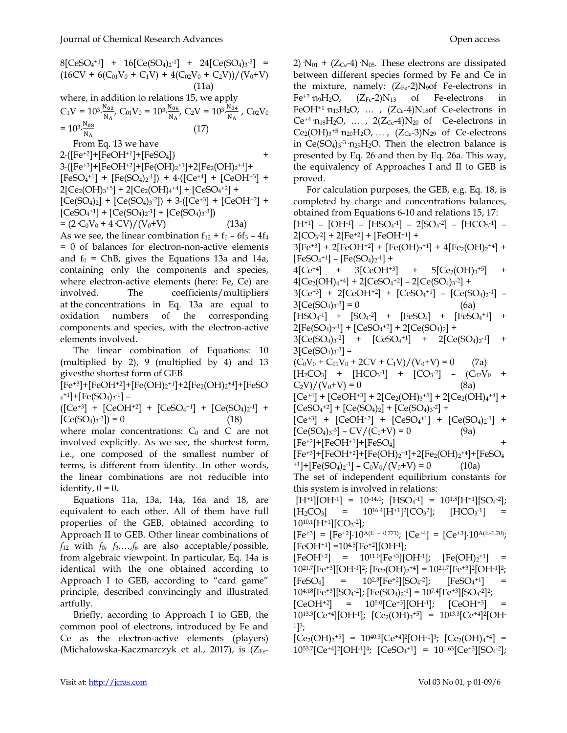$8[CeSO<sub>4</sub><sup>+1</sup>] + 16[Ce(SO<sub>4</sub>)<sub>2</sub><sup>-1</sup>] + 24[Ce(SO<sub>4</sub>)<sub>3</sub><sup>-3</sup>] =$  $(16CV + 6(C_{01}V_0 + C_1V) + 4(C_{02}V_0 + C_2V))/(V_0+V)$  (11a) where, in addition to relations 15, we apply  $C_1V = 10^{3} \frac{N_{02}}{N}$  $\frac{N_{02}}{N_A}$ , C<sub>01</sub>V<sub>0</sub> = 10<sup>3</sup> $\frac{N_{06}}{N_A}$  $\frac{N_{06}}{N_A}$ , C<sub>2</sub>V = 10<sup>3</sup>. $\frac{N_{04}}{N_A}$  $\frac{N_{04}}{N_{\rm A}}$ , C<sub>02</sub>V<sub>0</sub>  $= 10^{3} \cdot \frac{N_{08}}{N_{11}}$  $_{\rm N_A}$  (17) From Eq. 13 we have

 $2 \cdot ([Fe^{+2}] + [FeOH^{+1}] + [FeSO_4])$ 3·([Fe+3]+[FeOH+2]+[Fe(OH)<sup>2</sup> +1]+2[Fe2(OH)<sup>2</sup> +4]+  $[FeSO_4^{+1}] + [Fe(SO_4)_2^{-1}]$  + 4 $\cdot$ ( $[Ce^{+4}]$  +  $[CeOH^{+3}]$  +  $2[Ce<sub>2</sub>(OH)<sub>3</sub><sup>+5</sup>] + 2[Ce<sub>2</sub>(OH)<sub>4</sub><sup>+4</sup>] + [CeSO<sub>4</sub><sup>+2</sup>] +$  $[Ce(SO<sub>4</sub>)<sub>2</sub>] + [Ce(SO<sub>4</sub>)<sub>3</sub><sup>-2</sup>]) + 3 \cdot ([Ce<sup>+3</sup>] + [CeOH<sup>+2</sup>] +$  $[CeSO<sub>4</sub><sup>+1</sup>] + [Ce(SO<sub>4</sub>)<sub>2</sub><sup>-1</sup>] + [Ce(SO<sub>4</sub>)<sub>3</sub><sup>-3</sup>])$  $= (2 C_0 V_0 + 4 CV)/(V_0+V)$  (13a)

As we see, the linear combination  $f_{12} + f_0 - 6f_3 - 4f_4$ = 0 of balances for electron-non-active elements and  $f_0$  = ChB, gives the Equations 13a and 14a, containing only the components and species, where electron-active elements (here: Fe, Ce) are involved. The coefficients/multipliers at the concentrations in Eq. 13a are equal to oxidation numbers of the corresponding components and species, with the electron-active elements involved.

The linear combination of Equations: 10 (multiplied by 2), 9 (multiplied by 4) and 13 givesthe shortest form of GEB

[Fe+3]+[FeOH+2]+[Fe(OH)<sup>2</sup> +1]+2[Fe2(OH)<sup>2</sup> +4]+[FeSO  $_{4}$ <sup>+1</sup>]+[Fe(SO<sub>4</sub>)<sub>2</sub><sup>-1</sup>] –

 $({\rm [Ce^{+3}] + [CeOH^{+2}] + [CeSO<sub>4</sub><sup>+1</sup>] + [Ce(SO<sub>4</sub>)<sub>2</sub><sup>-1</sup>] +$  $[Ce(SO<sub>4</sub>)<sub>3</sub><sup>-3</sup>]) = 0$  (18)

where molar concentrations:  $C_0$  and  $C$  are not involved explicitly. As we see, the shortest form, i.e., one composed of the smallest number of terms, is different from identity. In other words, the linear combinations are not reducible into identity,  $0 = 0$ .

Equations 11a, 13a, 14a, 16a and 18, are equivalent to each other. All of them have full properties of the GEB, obtained according to Approach II to GEB. Other linear combinations of  $f_{12}$  with  $f_0$ ,  $f_3$ ,  $\ldots$ ,  $f_6$  are also acceptable/possible, from algebraic viewpoint. In particular, Eq. 14a is identical with the one obtained according to Approach I to GEB, according to "card game" principle, described convincingly and illustrated artfully.

Briefly, according to Approach I to GEB, the common pool of electrons, introduced by Fe and Ce as the electron-active elements (players) (Michałowska-Kaczmarczyk et al., 2017), is  $(Z_{Fe}$  2)  $N_{01}$  + (Z<sub>Ce</sub>-4)  $N_{05}$ . These electrons are dissipated between different species formed by Fe and Ce in the mixture, namely:  $(Z_{Fe} - 2)N<sub>9</sub>$ of Fe-electrons in  $Fe^{+2}$  n<sub>9</sub>H<sub>2</sub>O,  $(Z_{Fe}$ -2)N<sub>13</sub> of Fe-electrons in FeOH<sup>+1</sup>  $n_{13}H_2O$ , ...,  $(Z_{Ce} - 4)N_{18}$ of Ce-electrons in  $Ce^{+4}n_{18}H_2O$ , ...,  $2(Z_{Ce}-4)N_{20}$  of Ce-electrons in  $Ce_2(OH)_{3}^{+5}$   $n_{20}H_{2}O$ , ...,  $(Z_{Ce}$ -3) $N_{29}$  of Ce-electrons in  $Ce(SO<sub>4</sub>)<sub>3</sub>$ <sup>-3</sup>  $n_{29}H_2O$ . Then the electron balance is presented by Eq. 26 and then by Eq. 26a. This way, the equivalency of Approaches I and II to GEB is proved.

For calculation purposes, the GEB, e.g. Eq. 18, is completed by charge and concentrations balances, obtained from Equations 6-10 and relations 15, 17:  $[H^{+1}] - [OH^{-1}] - [HSO_4^{-1}] - 2[SO_4^{-2}] - [HCO_3^{-1}] 2[CO<sub>3</sub>-2] + 2[Fe<sup>+2</sup>] + [FeOH<sup>+1</sup>] +$  $3[Fe^{+3}] + 2[FeOH^{+2}] + [Fe(OH)_2^{+1}] + 4[Fe_2(OH)_2^{+4}] +$  $[FeSO<sub>4</sub><sup>+1</sup>] - [Fe(SO<sub>4</sub>)<sub>2</sub><sup>-1</sup>] +$  $4[Ce^{+4}]$  +  $3[CeOH^{+3}]$  +  $5[Ce<sub>2</sub>(OH)<sub>3</sub> + 5]$  $4[Ce<sub>2</sub>(OH)<sub>4</sub><sup>+4</sup>] + 2[CeSO<sub>4</sub><sup>+2</sup>] - 2[Ce(SO<sub>4</sub>)<sub>3</sub><sup>-2</sup>] +$ 3[Ce<sup>+3</sup>] + 2[CeOH<sup>+2</sup>] + [CeSO<sub>4</sub><sup>+1</sup>] - [Ce(SO<sub>4</sub>)<sub>2</sub><sup>-1</sup>] - $3[Ce(SO<sub>4</sub>)<sub>3</sub>$ <sup>-3</sup>] = 0 (6a)  $[\text{HSO}_4^{-1}]$  +  $[\text{SO}_4^{-2}]$  +  $[\text{FeSO}_4]$  +  $[\text{FeSO}_4^{+1}]$  +  $2[Fe(SO<sub>4</sub>)<sub>2</sub>$ -1] + [CeSO<sub>4</sub>+2] + 2[Ce(SO<sub>4</sub>)<sub>2</sub>] + 3[Ce(SO<sub>4</sub>)<sub>3</sub><sup>-2</sup>] + [CeSO<sub>4</sub><sup>+1</sup>] + 2[Ce(SO<sub>4</sub>)<sub>2</sub><sup>-1</sup>] + 3[Ce(SO4)<sup>3</sup> -3] –  $(C_0V_0 + C_{01}V_0 + 2CV + C_1V)/(V_0+V) = 0$  (7a)  $[H_2CO_3]$  +  $[HCO_3^{-1}]$  +  $[CO_3^{-2}]$  -  $(C_{02}V_0$  +  $C_2V)/(V_0+V) = 0$  (8a)  $[Ce^{+4}] + [CeOH^{+3}] + 2[Ce<sub>2</sub>(OH)<sub>3</sub><sup>+5</sup>] + 2[Ce<sub>2</sub>(OH)<sub>4</sub><sup>+4</sup>] +$  $[CeSO<sub>4</sub><sup>+2</sup>] + [Ce(SO<sub>4</sub>)<sub>2</sub>] + [Ce(SO<sub>4</sub>)<sub>3</sub><sup>-2</sup>] +$  $[Ce^{+3}]$  +  $[CeOH^{+2}]$  +  $[CeSO_4^{+1}]$  +  $[Ce(SO_4)_2^{-1}]$  +  $[Ce(SO<sub>4</sub>)<sub>3</sub>$ -3] – CV/(C<sub>0</sub>+V) = 0 (9a)  $[Fe^{+2}]$ + $[FeOH^{+1}]$ + $[FeSO<sub>4</sub>]$ [Fe+3]+[FeOH+2]+[Fe(OH)<sup>2</sup> +1]+2[Fe2(OH)<sup>2</sup> +4]+[FeSO<sup>4</sup>  $^{-1}$ ]+[Fe(SO<sub>4</sub>)<sub>2</sub><sup>-1</sup>] – C<sub>0</sub>V<sub>0</sub>/(V<sub>0</sub>+V) = 0 (10a) The set of independent equilibrium constants for this system is involved in relations:  $[H^{+1}][OH^{-1}] = 10^{-14.0}$ ;  $[HSO_4^{-1}] = 10^{1.8}[H^{+1}][SO_4^{-2}]$ ;  $[H_2CO_3]$  = 10<sup>16.4</sup>[H<sup>+1</sup>]<sup>2</sup>[CO<sub>3</sub><sup>2</sup>  $\left[ HCO<sub>3</sub>$ <sup>-1</sup>] =  $10^{10.1}$ [H<sup>+1</sup>][CO<sub>3</sub><sup>-2</sup>];  $[Fe^{+3}] = [Fe^{+2}] \cdot 10^{A(E - 0.771)}; [Ce^{+4}] = [Ce^{+3}] \cdot 10^{A(E - 1.70)};$  $[FeOH<sup>+1</sup>] = 10<sup>4.5</sup>[Fe<sup>+2</sup>][OH<sup>-1</sup>];$  $[FeOH<sup>+2</sup>] = 10<sup>11.0</sup>[Fe<sup>+3</sup>][OH<sup>-1</sup>]; [Fe(OH)<sub>2</sub><sup>+1</sup>] =$  $10^{21.7}$ [Fe<sup>+3</sup>][OH<sup>-1</sup>]<sup>2</sup>; [Fe<sub>2</sub>(OH)<sub>2</sub><sup>+4</sup>] = 10<sup>21.7</sup>[Fe<sup>+3</sup>]<sup>2</sup>[OH<sup>-1</sup>]<sup>2</sup>;  $[FeSO_4]$  = 10<sup>2.3</sup> $[Fe^{+2}][SO_4^{-2}]$ ;  $^{-2}$ ]; [FeSO<sub>4</sub><sup>+1</sup>] =  $10^{4.18}$ [Fe<sup>+3</sup>][SO<sub>4</sub><sup>-2</sup>]; [Fe(SO<sub>4</sub>)<sub>2</sub><sup>-1</sup>] = 10<sup>7.4</sup>[Fe<sup>+3</sup>][SO<sub>4</sub><sup>-2</sup>]<sup>2</sup>;  $[CeOH<sup>+2</sup>]$  =  $10<sup>5.0</sup>[Ce<sup>+3</sup>][OH<sup>-1</sup>];$   $[CeOH<sup>+3</sup>]$  $10^{13.3}$ [Ce<sup>+4</sup>][OH<sup>-1</sup>]; [Ce<sub>2</sub>(OH)<sub>3</sub><sup>+5</sup>] = 10<sup>13.3</sup>[Ce<sup>+4</sup>]<sup>2</sup>[OH· <sup>1</sup>]<sup>3</sup>;  $[Ce<sub>2</sub>(OH)<sub>3</sub><sup>+5</sup>] = 10<sup>40.3</sup>[Ce<sup>+4</sup>]<sup>2</sup>[OH<sup>-1</sup>]<sup>3</sup>; [Ce<sub>2</sub>(OH)<sub>4</sub><sup>+4</sup>] =$  $10^{53.7}$ [Ce<sup>+4</sup>]<sup>2</sup>[OH<sup>-1</sup>]<sup>4</sup>; [CeSO<sub>4</sub><sup>+1</sup>] = 10<sup>1.63</sup>[Ce<sup>+3</sup>][SO<sub>4</sub><sup>-2</sup>];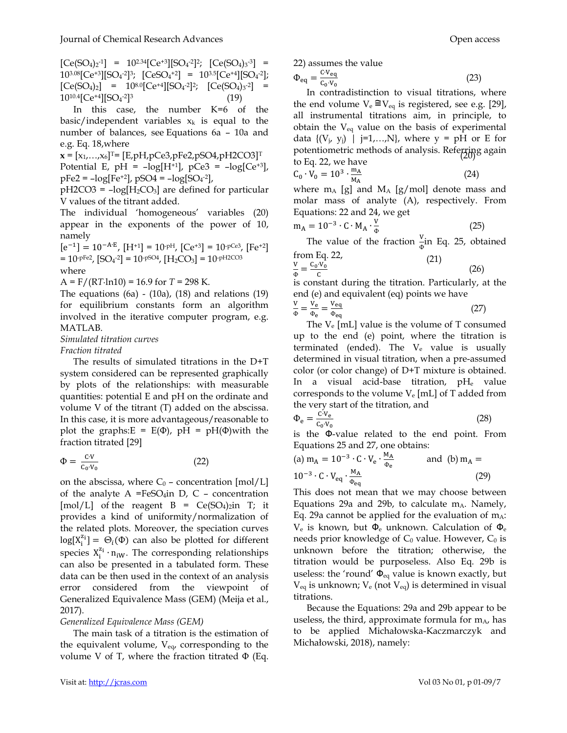$[Ce(SO<sub>4</sub>)<sub>2</sub>$ <sup>-1</sup>] = 10<sup>2.34</sup>[Ce<sup>+3</sup>][SO<sub>4</sub><sup>-2</sup>]<sup>2</sup>; [Ce(SO<sub>4</sub>)<sub>3</sub><sup>-3</sup>] =  $10^{3.08}$ [Ce<sup>+3</sup>][SO<sub>4</sub><sup>-2</sup>]<sup>3</sup>; [CeSO<sub>4</sub><sup>+2</sup>] = 10<sup>3.5</sup>[Ce<sup>+4</sup>][SO<sub>4</sub><sup>-2</sup>];  $[Ce(SO<sub>4</sub>)<sub>2</sub>] = 10<sup>8.0</sup>[Ce<sup>+4</sup>][SO<sub>4</sub><sup>-2</sup>]<sup>2</sup>; [Ce(SO<sub>4</sub>)<sub>3</sub><sup>-2</sup>] =$ 1010.4[Ce+4][SO<sup>4</sup> -2] 3 (19)

In this case, the number K=6 of the basic/independent variables  $x_k$  is equal to the number of balances, see Equations 6a – 10a and e.g. Eq. 18,where

 $\mathbf{x} = [x_1, ..., x_6]^{\text{T}} = [E, pH, pCe3, pFe2, pSO4, pH2CO3]^{\text{T}}$ 

Potential E,  $pH = -log[H^{+1}]$ ,  $pCe3 = -log[Ce^{+3}]$ ,  $pFe2 = -log[Fe^{+2}]$ ,  $pSO4 = -log[SO_4^{-2}]$ ,

 $pH2CO3 = -log[H_2CO_3]$  are defined for particular V values of the titrant added.

The individual 'homogeneous' variables (20) appear in the exponents of the power of 10, namely

 $[e^{-1}] = 10^{-A \cdot E}, [H^{+1}] = 10^{-pH}, [Ce^{+3}] = 10^{-pCe3}, [Fe^{+2}]$  $= 10 \text{ pFe}^2$ ,  $[SO_4{}^2] = 10 \text{ pSO}_4{}^2$ ,  $[H_2CO_3] = 10 \text{ pH2CO}_3$  (21) where

A = F/(R*T*·ln10) = 16.9 for *T* = 298 K.

The equations  $(6a)$  -  $(10a)$ ,  $(18)$  and relations  $(19)$ for equilibrium constants form an algorithm involved in the iterative computer program, e.g. MATLAB.

*Simulated titration curves* 

*Fraction titrated* 

The results of simulated titrations in the D+T system considered can be represented graphically by plots of the relationships: with measurable quantities: potential E and pH on the ordinate and volume V of the titrant (T) added on the abscissa. In this case, it is more advantageous/reasonable to plot the graphs: $E = E(\Phi)$ , pH = pH( $\Phi$ )with the fraction titrated [29]

$$
\Phi = \frac{c \cdot v}{c_0 \cdot v_0} \tag{22}
$$

on the abscissa, where  $C_0$  – concentration [mol/L] of the analyte  $A = FeSO_4$ in D, C - concentration [mol/L] of the reagent  $B = Ce(SO_4)_2$ in T; it provides a kind of uniformity/normalization of the related plots. Moreover, the speciation curves  $log[X_i^{\mathbf{z}_i}] = \Theta_i(\Phi)$  can also be plotted for different species  $X_i^{z_i} \cdot n_{iW}$ . The corresponding relationships can also be presented in a tabulated form. These data can be then used in the context of an analysis error considered from the viewpoint of Generalized Equivalence Mass (GEM) (Meija et al., 2017).

#### *Generalized Equivalence Mass (GEM)*

The main task of a titration is the estimation of the equivalent volume,  $V_{eq}$ , corresponding to the volume V of T, where the fraction titrated  $\Phi$  (Eq.

22) assumes the value

$$
\Phi_{\text{eq}} = \frac{c \cdot v_{\text{eq}}}{c_{\text{o}} \cdot v_{\text{o}}} \tag{23}
$$

In contradistinction to visual titrations, where the end volume  $V_e \cong V_{eq}$  is registered, see e.g. [29], all instrumental titrations aim, in principle, to obtain the  $V_{eq}$  value on the basis of experimental data  $\{(V_j, y_j) \mid j=1,...,N\}$ , where  $y = pH$  or E for potentiometric methods of analysis. Referring again to Eq. 22, we have

$$
C_0 \cdot \tilde{V}_0 = 10^3 \cdot \frac{m_A}{M_A} \tag{24}
$$

where  $m_A$  [g] and  $M_A$  [g/mol] denote mass and molar mass of analyte (A), respectively. From Equations: 22 and 24, we get

$$
m_A = 10^{-3} \cdot C \cdot M_A \cdot \frac{v}{\Phi} \tag{25}
$$

The value of the fraction  $\frac{v}{\phi}$  in Eq. 25, obtained from  $E_a$  22

$$
\frac{v}{\Phi} = \frac{c_0 \cdot v_0}{c} \tag{21}
$$

is constant during the titration. Particularly, at the end (e) and equivalent (eq) points we have

$$
\frac{V}{\Phi} = \frac{V_e}{\Phi_e} = \frac{V_{eq}}{\Phi_{eq}}\tag{27}
$$

The  $V_e$  [mL] value is the volume of T consumed up to the end (e) point, where the titration is terminated (ended). The  $V_e$  value is usually determined in visual titration, when a pre-assumed color (or color change) of D+T mixture is obtained. In a visual acid-base titration, pH<sub>e</sub> value corresponds to the volume  $V_e$  [mL] of T added from the very start of the titration, and

$$
\Phi_{\rm e} = \frac{\rm c \cdot v_{\rm e}}{\rm c_{\rm o} \cdot v_{\rm o}}\tag{28}
$$

is the Φ-value related to the end point. From Equations 25 and 27, one obtains:

(a) 
$$
m_A = 10^{-3} \cdot C \cdot V_e \cdot \frac{M_A}{\Phi_e}
$$
 and (b)  $m_A = 10^{-3} \cdot C \cdot V_{eq} \cdot \frac{M_A}{\Phi_{eq}}$  (29)

This does not mean that we may choose between Equations 29a and 29b, to calculate  $m_A$ . Namely, Eq. 29a cannot be applied for the evaluation of  $m_A$ :  $V_e$  is known, but  $\Phi_e$  unknown. Calculation of  $\Phi_e$ needs prior knowledge of  $C_0$  value. However,  $C_0$  is unknown before the titration; otherwise, the titration would be purposeless. Also Eq. 29b is useless: the 'round'  $\Phi_{eq}$  value is known exactly, but  $V_{eq}$  is unknown;  $V_{eq}$  (not  $V_{eq}$ ) is determined in visual titrations.

Because the Equations: 29a and 29b appear to be useless, the third, approximate formula for  $m_A$ , has to be applied Michałowska-Kaczmarczyk and Michałowski, 2018), namely: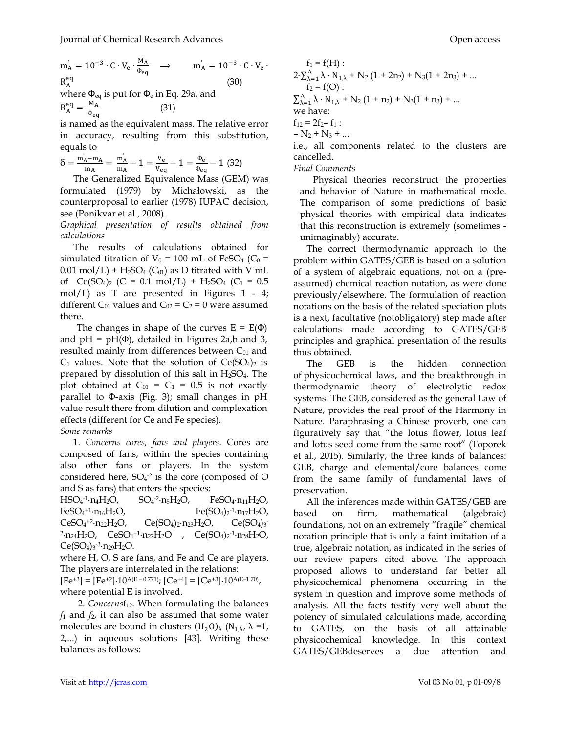$m'_A = 10^{-3} \cdot C \cdot V_e \cdot \frac{M_A}{\Phi_E}$  $\frac{m_A}{\Phi_{eq}}$   $\implies$   $m_A = 10^{-3} \cdot C \cdot V_e$ .  $R_{\Lambda}^{eq}$  $_{A}$  (30) where  $\Phi_{\rm eq}$  is put for  $\Phi_{\rm e}$  in Eq. 29a, and (31)

 $R_A^{eq} = \frac{M_A}{\Phi}$  $\Phi_{\bf eq}$ 

is named as the equivalent mass. The relative error in accuracy, resulting from this substitution, equals to

$$
\delta = \frac{m_A^{'} - m_A}{m_A} = \frac{m_A^{'}}{m_A} - 1 = \frac{v_e}{v_{eq}} - 1 = \frac{\Phi_e}{\Phi_{eq}} - 1 \tag{32}
$$

The Generalized Equivalence Mass (GEM) was formulated (1979) by Michałowski, as the counterproposal to earlier (1978) IUPAC decision, see (Ponikvar et al., 2008).

*Graphical presentation of results obtained from calculations* 

The results of calculations obtained for simulated titration of  $V_0 = 100$  mL of FeSO<sub>4</sub> (C<sub>0</sub> =  $0.01 \text{ mol/L}$  + H<sub>2</sub>SO<sub>4</sub> (C<sub>01</sub>) as D titrated with V mL of  $Ce(SO<sub>4</sub>)<sub>2</sub>$  (C = 0.1 mol/L) + H<sub>2</sub>SO<sub>4</sub> (C<sub>1</sub> = 0.5 mol/L) as T are presented in Figures 1 - 4; different  $C_{01}$  values and  $C_{02} = C_2 = 0$  were assumed there.

The changes in shape of the curves  $E = E(\Phi)$ and  $pH = pH(\Phi)$ , detailed in Figures 2a,b and 3, resulted mainly from differences between  $C_{01}$  and  $C_1$  values. Note that the solution of  $Ce(SO_4)_2$  is prepared by dissolution of this salt in  $H_2SO_4$ . The plot obtained at  $C_{01} = C_1 = 0.5$  is not exactly parallel to Φ-axis (Fig. 3); small changes in pH value result there from dilution and complexation effects (different for Ce and Fe species). *Some remarks* 

1. *Concerns cores, fans and players*. Cores are composed of fans, within the species containing also other fans or players. In the system considered here,  $SO_4$ <sup>-2</sup> is the core (composed of O and S as fans) that enters the species:

 $HSO<sub>4</sub><sup>-1</sup>·n<sub>4</sub>H<sub>2</sub>O$ ,  $SO<sub>4</sub>$  $SO_4$ -2·n<sub>5</sub>H<sub>2</sub>O, FeSO<sub>4</sub>·n<sub>11</sub>H<sub>2</sub>O,  $FeSO<sub>4</sub><sup>+1</sup>·n<sub>16</sub>H<sub>2</sub>O$ , Fe(SO<sub>4</sub>)<sub>2</sub>  $Fe(SO<sub>4</sub>)<sub>2</sub>$ -1·n<sub>17</sub>H<sub>2</sub>O,  $CeSO<sub>4</sub><sup>+2</sup>·n<sub>22</sub>H<sub>2</sub>O<sub>r</sub>$  $Ce(SO_4)_2 \cdot n_{23}H_2O$ ,  $Ce(SO<sub>4</sub>)<sub>3</sub>$ <sup>2</sup>·n<sub>24</sub>H<sub>2</sub>O, CeSO<sub>4</sub><sup>+1</sup>·n<sub>27</sub>H<sub>2</sub>O, Ce(SO<sub>4</sub>)<sub>2</sub><sup>-1</sup>·n<sub>28</sub>H<sub>2</sub>O,  $Ce(SO<sub>4</sub>)<sub>3</sub>$ -3 $\cdot$ n<sub>29</sub>H<sub>2</sub>O.

where H, O, S are fans, and Fe and Ce are players. The players are interrelated in the relations:  $[Fe^{+3}] = [Fe^{+2}] \cdot 10^{A(E - 0.771)}$ ;  $[Ce^{+4}] = [Ce^{+3}] \cdot 10^{A(E - 1.70)}$ , where potential E is involved.

2. *Concernsf<sub>12</sub>*. When formulating the balances *f*1 and *f*2, it can also be assumed that some water molecules are bound in clusters  $(H_2O)_{\lambda}$   $(N_{1,\lambda}, \lambda =1,$ 2,...) in aqueous solutions [43]. Writing these balances as follows:

 $f_1 = f(H)$ :  $2\cdot\sum_{\lambda=1}^{A} \lambda \cdot N_{1,\lambda} + N_2 (1 + 2n_2) + N_3(1 + 2n_3) + ...$  $f_2 = f(O)$ :  $\sum_{\lambda=1}^{A} \lambda \cdot N_{1,\lambda} + N_2 (1 + n_2) + N_3 (1 + n_3) + ...$ we have:  $f_{12} = 2f_{2} - f_{1}$ :  $- N_2 + N_3 + ...$ 

i.e., all components related to the clusters are cancelled.

*Final Comments* 

Physical theories reconstruct the properties and behavior of Nature in mathematical mode. The comparison of some predictions of basic physical theories with empirical data indicates that this reconstruction is extremely (sometimes unimaginably) accurate.

The correct thermodynamic approach to the problem within GATES/GEB is based on a solution of a system of algebraic equations, not on a (preassumed) chemical reaction notation, as were done previously/elsewhere. The formulation of reaction notations on the basis of the related speciation plots is a next, facultative (notobligatory) step made after calculations made according to GATES/GEB principles and graphical presentation of the results thus obtained.

The GEB is the hidden connection of physicochemical laws, and the breakthrough in thermodynamic theory of electrolytic redox systems. The GEB, considered as the general Law of Nature, provides the real proof of the Harmony in Nature. Paraphrasing a Chinese proverb, one can figuratively say that "the lotus flower, lotus leaf and lotus seed come from the same root" (Toporek et al., 2015). Similarly, the three kinds of balances: GEB, charge and elemental/core balances come from the same family of fundamental laws of preservation.

All the inferences made within GATES/GEB are based on firm, mathematical (algebraic) foundations, not on an extremely "fragile" chemical notation principle that is only a faint imitation of a true, algebraic notation, as indicated in the series of our review papers cited above. The approach proposed allows to understand far better all physicochemical phenomena occurring in the system in question and improve some methods of analysis. All the facts testify very well about the potency of simulated calculations made, according to GATES, on the basis of all attainable physicochemical knowledge. In this context GATES/GEBdeserves a due attention and